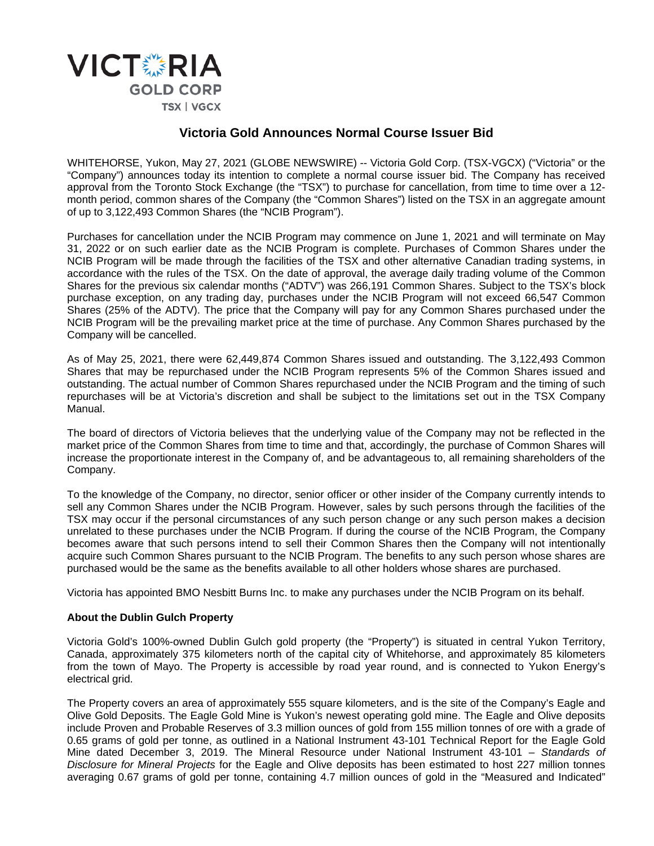

## **Victoria Gold Announces Normal Course Issuer Bid**

WHITEHORSE, Yukon, May 27, 2021 (GLOBE NEWSWIRE) -- Victoria Gold Corp. (TSX-VGCX) ("Victoria" or the "Company") announces today its intention to complete a normal course issuer bid. The Company has received approval from the Toronto Stock Exchange (the "TSX") to purchase for cancellation, from time to time over a 12 month period, common shares of the Company (the "Common Shares") listed on the TSX in an aggregate amount of up to 3,122,493 Common Shares (the "NCIB Program").

Purchases for cancellation under the NCIB Program may commence on June 1, 2021 and will terminate on May 31, 2022 or on such earlier date as the NCIB Program is complete. Purchases of Common Shares under the NCIB Program will be made through the facilities of the TSX and other alternative Canadian trading systems, in accordance with the rules of the TSX. On the date of approval, the average daily trading volume of the Common Shares for the previous six calendar months ("ADTV") was 266,191 Common Shares. Subject to the TSX's block purchase exception, on any trading day, purchases under the NCIB Program will not exceed 66,547 Common Shares (25% of the ADTV). The price that the Company will pay for any Common Shares purchased under the NCIB Program will be the prevailing market price at the time of purchase. Any Common Shares purchased by the Company will be cancelled.

As of May 25, 2021, there were 62,449,874 Common Shares issued and outstanding. The 3,122,493 Common Shares that may be repurchased under the NCIB Program represents 5% of the Common Shares issued and outstanding. The actual number of Common Shares repurchased under the NCIB Program and the timing of such repurchases will be at Victoria's discretion and shall be subject to the limitations set out in the TSX Company Manual.

The board of directors of Victoria believes that the underlying value of the Company may not be reflected in the market price of the Common Shares from time to time and that, accordingly, the purchase of Common Shares will increase the proportionate interest in the Company of, and be advantageous to, all remaining shareholders of the Company.

To the knowledge of the Company, no director, senior officer or other insider of the Company currently intends to sell any Common Shares under the NCIB Program. However, sales by such persons through the facilities of the TSX may occur if the personal circumstances of any such person change or any such person makes a decision unrelated to these purchases under the NCIB Program. If during the course of the NCIB Program, the Company becomes aware that such persons intend to sell their Common Shares then the Company will not intentionally acquire such Common Shares pursuant to the NCIB Program. The benefits to any such person whose shares are purchased would be the same as the benefits available to all other holders whose shares are purchased.

Victoria has appointed BMO Nesbitt Burns Inc. to make any purchases under the NCIB Program on its behalf.

## **About the Dublin Gulch Property**

Victoria Gold's 100%-owned Dublin Gulch gold property (the "Property") is situated in central Yukon Territory, Canada, approximately 375 kilometers north of the capital city of Whitehorse, and approximately 85 kilometers from the town of Mayo. The Property is accessible by road year round, and is connected to Yukon Energy's electrical grid.

The Property covers an area of approximately 555 square kilometers, and is the site of the Company's Eagle and Olive Gold Deposits. The Eagle Gold Mine is Yukon's newest operating gold mine. The Eagle and Olive deposits include Proven and Probable Reserves of 3.3 million ounces of gold from 155 million tonnes of ore with a grade of 0.65 grams of gold per tonne, as outlined in a National Instrument 43-101 Technical Report for the Eagle Gold Mine dated December 3, 2019. The Mineral Resource under National Instrument 43-101 – *Standards of Disclosure for Mineral Projects* for the Eagle and Olive deposits has been estimated to host 227 million tonnes averaging 0.67 grams of gold per tonne, containing 4.7 million ounces of gold in the "Measured and Indicated"